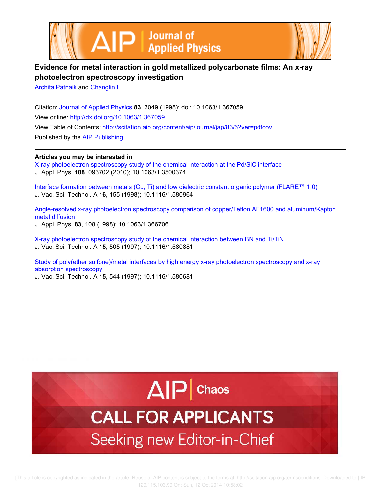



# **Evidence for metal interaction in gold metallized polycarbonate films: An x-ray photoelectron spectroscopy investigation**

Archita Patnaik and Changlin Li

Citation: Journal of Applied Physics **83**, 3049 (1998); doi: 10.1063/1.367059 View online: http://dx.doi.org/10.1063/1.367059 View Table of Contents: http://scitation.aip.org/content/aip/journal/jap/83/6?ver=pdfcov Published by the AIP Publishing

**Articles you may be interested in**

X-ray photoelectron spectroscopy study of the chemical interaction at the Pd/SiC interface J. Appl. Phys. **108**, 093702 (2010); 10.1063/1.3500374

Interface formation between metals (Cu, Ti) and low dielectric constant organic polymer (FLARE™ 1.0) J. Vac. Sci. Technol. A **16**, 155 (1998); 10.1116/1.580964

Angle-resolved x-ray photoelectron spectroscopy comparison of copper/Teflon AF1600 and aluminum/Kapton metal diffusion J. Appl. Phys. **83**, 108 (1998); 10.1063/1.366706

X-ray photoelectron spectroscopy study of the chemical interaction between BN and Ti/TiN J. Vac. Sci. Technol. A **15**, 505 (1997); 10.1116/1.580881

Study of poly(ether sulfone)/metal interfaces by high energy x-ray photoelectron spectroscopy and x-ray absorption spectroscopy

J. Vac. Sci. Technol. A **15**, 544 (1997); 10.1116/1.580681



# **CALL FOR APPLICANTS** Seeking new Editor-in-Chief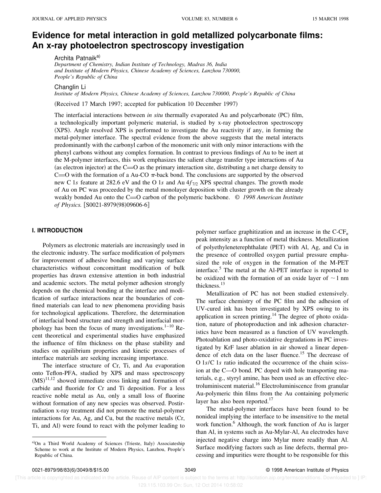# **Evidence for metal interaction in gold metallized polycarbonate films: An x-ray photoelectron spectroscopy investigation**

Archita Patnaik<sup>a)</sup>

*Department of Chemistry, Indian Institute of Technology, Madras 36, India and Institute of Modern Physics, Chinese Academy of Sciences, Lanzhou 730000, People's Republic of China*

Changlin Li

*Institute of Modern Physics, Chinese Academy of Sciences, Lanzhou 730000, People's Republic of China*

(Received 17 March 1997; accepted for publication 10 December 1997)

The interfacial interactions between *in situ* thermally evaporated Au and polycarbonate (PC) film, a technologically important polymeric material, is studied by x-ray photoelectron spectroscopy (XPS). Angle resolved XPS is performed to investigate the Au reactivity if any, in forming the metal-polymer interface. The spectral evidence from the above suggests that the metal interacts predominantly with the carbonyl carbon of the monomeric unit with only minor interactions with the phenyl carbons without any complex formation. In contrast to previous findings of Au to be inert at the M-polymer interfaces, this work emphasizes the salient charge transfer type interactions of Au (as electron injector) at the  $C=O$  as the primary interaction site, distributing a net charge density to C= $\overline{O}$  with the formation of a Au-CO  $\pi$ -back bond. The conclusions are supported by the observed new C 1*s* feature at 282.6 eV and the O 1*s* and Au 4*f* 7/2 XPS spectral changes. The growth mode of Au on PC was proceeded by the metal monolayer deposition with cluster growth on the already weakly bonded Au onto the C=O carbon of the polymeric backbone. © 1998 American Institute of Physics. [S0021-8979(98)09606-6]

#### **I. INTRODUCTION**

Polymers as electronic materials are increasingly used in the electronic industry. The surface modification of polymers for improvement of adhesive bonding and varying surface characteristics without concomittant modification of bulk properties has drawn extensive attention in both industrial and academic sectors. The metal polymer adhesion strongly depends on the chemical bonding at the interface and modification of surface interactions near the boundaries of confined materials can lead to new phenomena providing basis for technological applications. Therefore, the determination of interfacial bond structure and strength and interfacial morphology has been the focus of many investigations. $1-10$  Recent theoretical and experimental studies have emphasized the influence of film thickness on the phase stability and studies on equilibrium properties and kinetic processes of interface materials are seeking increasing importance.

The interface structure of Cr, Ti, and Au evaporation onto Teflon-PFA, studied by XPS and mass spectroscopy  $(MS)^{11,12}$  showed immediate cross linking and formation of carbide and fluoride for Cr and Ti deposition. For a less reactive noble metal as Au, only a small loss of fluorine without formation of any new species was observed. Postirradiation x-ray treatment did not promote the metal-polymer interactions for Au, Ag, and Cu, but the reactive metals  $(Cr,$ Ti, and Al) were found to react with the polymer leading to polymer surface graphitization and an increase in the C-CF*<sup>n</sup>* peak intensity as a function of metal thickness. Metallization of polyethyleneterephthalate (PET) with Al, Ag, and Cu in the presence of controlled oxygen partial pressure emphasized the role of oxygen in the formation of the M-PET interface.<sup>5</sup> The metal at the Al-PET interface is reported to be oxidized with the formation of an oxide layer of  $\sim$  1 nm thickness.<sup>13</sup>

Metallization of PC has not been studied extensively. The surface chemistry of the PC film and the adhesion of UV-cured ink has been investigated by XPS owing to its application in screen printing.<sup>14</sup> The degree of photo oxidation, nature of photoproduction and ink adhesion characteristics have been measured as a function of UV wavelength. Photoablation and photo-oxidative degradations in PC investigated by KrF laser ablation in air showed a linear dependence of etch data on the laser fluence.<sup>15</sup> The decrease of O 1*s*/C 1*s* ratio indicated the occurrence of the chain scission at the C—O bond. PC doped with hole transporting materials, e.g., styryl amine, has been used as an effective electroluminiscent material.<sup>16</sup> Electroluminiscence from granular Au-polymeric thin films from the Au containing polymeric layer has also been reported. $17$ 

The metal-polymer interfaces have been found to be nonideal implying the interface to be insensitive to the metal work function.<sup>6</sup> Although, the work function of Au is larger than Al, in systems such as Au-Mylar-Al, Au electrodes have injected negative charge into Mylar more readily than Al. Surface modifying factors such as line defects, thermal processing and impurities were thought to be responsible for this

 [This article is copyrighted as indicated in the article. Reuse of AIP content is subject to the terms at: http://scitation.aip.org/termsconditions. Downloaded to ] IP: 129.115.103.99 On: Sun, 12 Oct 2014 10:58:02

a)On a Third World Academy of Sciences (Trieste, Italy) Associateship Scheme to work at the Institute of Modern Physics, Lanzhou, People's Republic of China.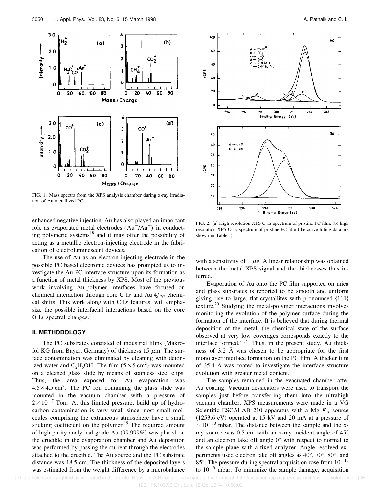

FIG. 1. Mass spectra from the XPS analysis chamber during x-ray irradiation of Au metallized PC.

enhanced negative injection. Au has also played an important role as evaporated metal electrodes  $(Au^-/Au^+)$  in conducting polymeric systems<sup>18</sup> and it may offer the possibility of acting as a metallic electron-injecting electrode in the fabrication of electroluminescent devices.

The use of Au as an electron injecting electrode in the possible PC based electronic devices has prompted us to investigate the Au-PC interface structure upon its formation as a function of metal thickness by XPS. Most of the previous work involving Au-polymer interfaces have focused on chemical interaction through core C 1s and Au  $4f_{7/2}$  chemical shifts. This work along with C 1*s* features, will emphasize the possible interfacial interactions based on the core O 1*s* spectral changes.

## **II. METHODOLOGY**

The PC substrates consisted of industrial films (Makrofol KG from Bayer, Germany) of thickness 15  $\mu$ m. The surface contamination was eliminated by cleaning with deionized water and C<sub>2</sub>H<sub>5</sub>OH. The film ( $5 \times 5$  cm<sup>2</sup>) was mounted on a cleaned glass slide by means of stainless steel clips. Thus, the area exposed for Au evaporation was  $4.5 \times 4.5$  cm<sup>2</sup>. The PC foil containing the glass slide was mounted in the vacuum chamber with a pressure of  $2\times10^{-7}$  Torr. At this limited pressure, build up of hydrocarbon contamination is very small since most small molecules comprising the extraneous atmosphere have a small sticking coefficient on the polymer.<sup>19</sup> The required amount of high purity analytical grade Au  $(99.999\%)$  was placed on the crucible in the evaporation chamber and Au deposition was performed by passing the current through the electrodes attached to the crucible. The Au source and the PC substrate distance was 18.5 cm. The thickness of the deposited layers was estimated from the weight difference by a microbalance



FIG. 2. (a) High resolution XPS C 1s spectrum of pristine PC film, (b) high resolution XPS O 1s spectrum of pristine PC film (the curve fitting data are shown in Table I).

with a sensitivity of 1  $\mu$ g. A linear relationship was obtained between the metal XPS signal and the thicknesses thus inferred.

Evaporation of Au onto the PC film supported on mica and glass substrates is reported to be smooth and uniform giving rise to large, flat crystallites with pronounced  $\{111\}$ texture.<sup>20</sup> Studying the metal-polymer interactions involves monitoring the evolution of the polymer surface during the formation of the interface. It is believed that during thermal deposition of the metal, the chemical state of the surface observed at very low coverages corresponds exactly to the interface formed.<sup>21,22</sup> Thus, in the present study, Au thickness of 3.2 Å was chosen to be appropriate for the first monolayer interface formation on the PC film. A thicker film of 35.4 Å was coated to investigate the interface structure evolution with greater metal content.

The samples remained in the evacuated chamber after Au coating. Vacuum dessicators were used to transport the samples just before transferring them into the ultrahigh vacuum chamber. XPS measurements were made in a VG Scientific ESCALAB 210 apparatus with a Mg  $K_{\alpha}$  source  $(1253.6 \text{ eV})$  operated at 15 kV and 20 mA at a pressure of  $\sim$  10<sup>-10</sup> mbar. The distance between the sample and the xray source was 0.5 cm with an x-ray incident angle of 45° and an electron take off angle 0° with respect to normal to the sample plane with a fixed analyzer. Angle resolved experiments used electron take off angles as 40°, 70°, 80°, and 85 $^{\circ}$ . The pressure during spectral acquisition rose from  $10^{-10}$ to  $10^{-9}$  mbar. To minimize the sample damage, acquisition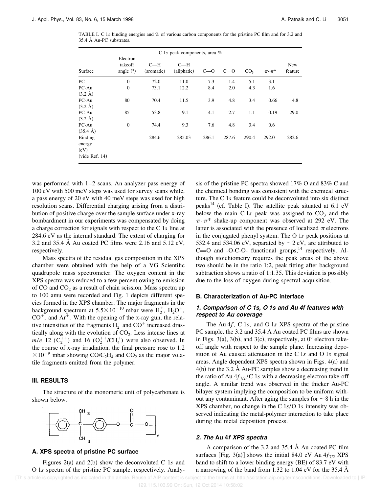TABLE I. C 1*s* binding energies and % of various carbon components for the pristine PC film and for 3.2 and 35.4 Å Au-PC substrates.

| C 1s peak components, area $%$                |                                    |                     |                      |       |       |                 |                 |                |  |  |
|-----------------------------------------------|------------------------------------|---------------------|----------------------|-------|-------|-----------------|-----------------|----------------|--|--|
| Surface                                       | Electron<br>takeoff<br>angle $(°)$ | $C-H$<br>(aromatic) | $C-H$<br>(aliphatic) | $C=0$ | $C=0$ | CO <sub>3</sub> | $\pi$ - $\pi^*$ | New<br>feature |  |  |
| PC                                            | $\mathbf{0}$                       | 72.0                | 11.0                 | 7.3   | 1.4   | 5.1             | 3.1             |                |  |  |
| PC-Au<br>$(3.2 \text{ Å})$                    | $\mathbf{0}$                       | 73.1                | 12.2                 | 8.4   | 2.0   | 4.3             | 1.6             |                |  |  |
| PC-Au<br>$(3.2 \text{ Å})$                    | 80                                 | 70.4                | 11.5                 | 3.9   | 4.8   | 3.4             | 0.66            | 4.8            |  |  |
| PC-Au<br>$(3.2 \text{ Å})$                    | 85                                 | 53.8                | 9.1                  | 4.1   | 2.7   | 1.1             | 0.19            | 29.0           |  |  |
| PC-Au<br>$(35.4 \text{ Å})$                   | $\mathbf{0}$                       | 74.4                | 9.3                  | 7.6   | 4.8   | 3.4             | 0.6             |                |  |  |
| Binding<br>energy<br>(eV)<br>$(vide$ Ref. 14) |                                    | 284.6               | 285.03               | 286.1 | 287.6 | 290.4           | 292.0           | 282.6          |  |  |

was performed with 1–2 scans. An analyzer pass energy of 100 eV with 500 meV steps was used for survey scans while, a pass energy of 20 eV with 40 meV steps was used for high resolution scans. Differential charging arising from a distribution of positive charge over the sample surface under x-ray bombardment in our experiments was compensated by doing a charge correction for signals with respect to the C 1*s* line at 284.6 eV as the internal standard. The extent of charging for 3.2 and 35.4 Å Au coated PC films were 2.16 and 5.12 eV, respectively.

Mass spectra of the residual gas composition in the XPS chamber were obtained with the help of a VG Scientific quadrupole mass spectrometer. The oxygen content in the XPS spectra was reduced to a few percent owing to emission of CO and  $CO<sub>2</sub>$  as a result of chain scission. Mass spectra up to 100 amu were recorded and Fig. 1 depicts different species formed in the XPS chamber. The major fragments in the background spectrum at  $5.5 \times 10^{-10}$  mbar were  $H_2^+$ ,  $H_2O^+$ ,  $CO<sup>+</sup>$ , and  $Ar<sup>+</sup>$ . With the opening of the x-ray gun, the relative intensities of the fragments  $H_2^+$  and CO<sup>+</sup> increased drastically along with the evolution of  $CO<sub>2</sub>$ . Less intense lines at *m/e* 12 ( $C_2^{++}$ ) and 16 ( $O_2^{++}/CH_4^+$ ) were also observed. In the course of x-ray irradiation, the final pressure rose to 1.2  $\times 10^{-9}$  mbar showing CO/C<sub>2</sub>H<sub>4</sub> and CO<sub>2</sub> as the major volatile fragments emitted from the polymer.

#### **III. RESULTS**

The structure of the monomeric unit of polycarbonate is shown below.



#### **A. XPS spectra of pristine PC surface**

Figures  $2(a)$  and  $2(b)$  show the deconvoluted C 1*s* and O 1*s* spectra of the pristine PC sample, respectively. Analysis of the pristine PC spectra showed 17% O and 83% C and the chemical bonding was consistent with the chemical structure. The C 1*s* feature could be deconvoluted into six distinct peaks<sup>14</sup> (cf. Table I). The satellite peak situated at  $6.1 \text{ eV}$ below the main C 1 $s$  peak was assigned to  $CO<sub>3</sub>$  and the  $\pi$ - $\pi$ <sup>\*</sup> shake-up component was observed at 292 eV. The latter is associated with the presence of localized  $\pi$  electrons in the conjugated phenyl system. The O 1*s* peak positions at 532.4 and 534.06 eV, separated by  $\sim$  2 eV, are attributed to  $C=O$  and -O-C-O- functional groups,<sup>14</sup> respectively. Although stoichiometry requires the peak areas of the above two should be in the ratio 1:2, peak fitting after background subtraction shows a ratio of 1:1.35. This deviation is possibly due to the loss of oxygen during spectral acquisition.

#### **B. Characterization of Au-PC interface**

## **1. Comparison of C 1s, O 1s and Au 4f features with respect to Au coverage**

The Au 4*f*, C 1*s*, and O 1*s* XPS spectra of the pristine PC sample, the 3.2 and 35.4 Å Au coated PC films are shown in Figs. 3(a), 3(b), and 3(c), respectively, at  $0^{\circ}$  electron takeoff angle with respect to the sample plane. Increasing deposition of Au caused attenuation in the C 1*s* and O 1*s* signal areas. Angle dependent XPS spectra shown in Figs.  $4(a)$  and  $4(b)$  for the 3.2 Å Au-PC samples show a decreasing trend in the ratio of Au  $4f_{7/2}$ /C 1*s* with a decreasing electron take-off angle. A similar trend was observed in the thicker Au-PC bilayer system implying the composition to be uniform without any contaminant. After aging the samples for  $\sim$ 8 h in the XPS chamber, no change in the C 1*s*/O 1*s* intensity was observed indicating the metal-polymer interaction to take place during the metal deposition process.

#### **2. The Au 4f XPS spectra**

A comparison of the 3.2 and 35.4 Å Au coated PC film surfaces [Fig. 3(a)] shows the initial 84.0 eV Au  $4f_{7/2}$  XPS band to shift to a lower binding energy  $(BE)$  of 83.7 eV with a narrowing of the band from 1.32 to 1.04 eV for the 35.4 Å

[This article is copyrighted as indicated in the article. Reuse of AIP content is subject to the terms at: http://scitation.aip.org/termsconditions. Downloaded to ] IP: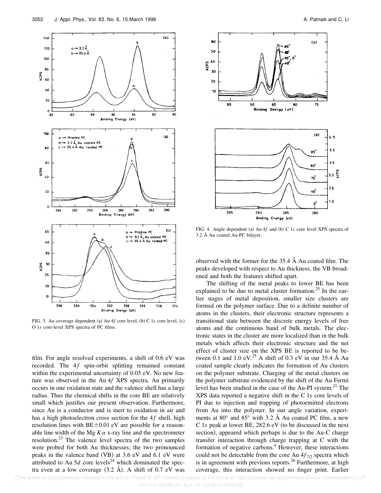

FIG. 3. Au coverage dependent (a) Au  $4f$  core level, (b) C 1*s* core level, (c) O 1*s* core-level XPS spectra of PC films.

film. For angle resolved experiments, a shift of 0.6 eV was recorded. The 4f spin-orbit splitting remained constant within the experimental uncertainty of 0.05 eV. No new feature was observed in the Au 4*f* XPS spectra. Au primarily occurs in one oxidation state and the valence shell has a large radius. Thus the chemical shifts in the core BE are relatively small which justifies our present observation. Furthermore, since Au is a conductor and is inert to oxidation in air and has a high photoelectron cross section for the 4f shell, high resolution lines with  $BE±0.01$  eV are possible for a reasonable line width of the Mg  $K\alpha$  x-ray line and the spectrometer resolution.<sup>23</sup> The valence level spectra of the two samples were probed for both Au thicknesses; the two pronounced peaks in the valence band  $(VB)$  at 3.6 eV and 6.1 eV were attributed to Au 5 $d$  core levels<sup>24</sup> which dominated the spectra even at a low coverage  $(3.2 \text{ Å})$ . A shift of 0.7 eV was



FIG. 4. Angle dependent (a) Au 4*f* and (b) C 1*s* core level XPS spectra of 3.2 Å Au coated Au-PC bilayer.

observed with the former for the 35.4 Å Au coated film. The peaks developed with respect to Au thickness, the VB broadened and both the features shifted apart.

The shifting of the metal peaks to lower BE has been explained to be due to metal cluster formation.<sup>25</sup> In the earlier stages of metal deposition, smaller size clusters are formed on the polymer surface. Due to a definite number of atoms in the clusters, their electronic structure represents a transitional state between the discrete energy levels of free atoms and the continuous band of bulk metals. The electronic states in the cluster are more localized than in the bulk metals which affects their electronic structure and the net effect of cluster size on the XPS BE is reported to be between 0.1 and 1.0 eV.<sup>25</sup> A shift of 0.3 eV in our 35.4 Å Au coated sample clearly indicates the formation of Au clusters on the polymer substrate. Charging of the metal clusters on the polymer substrate evidenced by the shift of the Au Fermi level has been studied in the case of the Au-PI system.<sup>21</sup> The XPS data reported a negative shift in the C 1*s* core levels of PI due to injection and trapping of photoemitted electrons from Au into the polymer. In our angle variation, experiments at  $80^{\circ}$  and  $85^{\circ}$  with 3.2 Å Au coated PC film, a new C 1s peak at lower BE, 282.6 eV (to be discussed in the next section), appeared which perhaps is due to the Au-C charge transfer interaction through charge trapping at C with the formation of negative carbons.<sup>4</sup> However, these interactions could not be detectable from the core Au  $4f_{7/2}$  spectra which is in agreement with previous reports.<sup>26</sup> Furthermore, at high coverage, this interaction showed no finger print. Earlier

[This article is copyrighted as indicated in the article. Reuse of AIP content is subject to the terms at: http://scitation.aip.org/termsconditions. Downloaded to ] IP: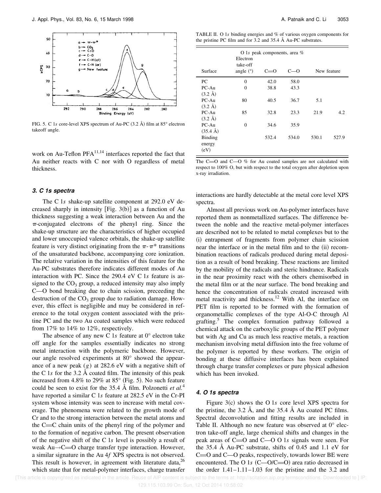

FIG. 5. C 1s core-level XPS spectrum of Au-PC  $(3.2 \text{ Å})$  film at 85° electron takeoff angle.

work on Au-Teflon PFA<sup>11,14</sup> interfaces reported the fact that Au neither reacts with C nor with O regardless of metal thickness.

### **3. C 1s spectra**

The C 1*s* shake-up satellite component at 292.0 eV decreased sharply in intensity [Fig.  $3(b)$ ] as a function of Au thickness suggesting a weak interaction between Au and the  $\pi$ -conjugated electrons of the phenyl ring. Since the shake-up structure are the characteristics of higher occupied and lower unoccupied valence orbitals, the shake-up satellite feature is very distinct originating from the  $\pi$ - $\pi$ <sup>\*</sup> transitions of the unsaturated backbone, accompanying core ionization. The relative variation in the intensities of this feature for the Au-PC substrates therefore indicates different modes of Au interaction with PC. Since the 290.4 eV C 1*s* feature is assigned to the  $CO<sub>3</sub>$  group, a reduced intensity may also imply C—O bond breaking due to chain scission, preceeding the destruction of the  $CO<sub>3</sub>$  group due to radiation damage. However, this effect is negligible and may be considered in reference to the total oxygen content associated with the pristine PC and the two Au coated samples which were reduced from 17% to 14% to 12%, respectively.

The absence of any new C 1*s* feature at 0° electron take off angle for the samples essentially indicates no strong metal interaction with the polymeric backbone. However, our angle resolved experiments at 80° showed the appearance of a new peak  $(g)$  at 282.6 eV with a negative shift of the C 1*s* for the 3.2 Å coated film. The intensity of this peak increased from 4.8% to 29% at  $85^{\circ}$  (Fig. 5). No such feature could be seen to exist for the 35.4 Å film. Polzonetti *et al.*<sup>4</sup> have reported a similar C 1*s* feature at 282.5 eV in the Cr-PI system whose intensity was seen to increase with metal coverage. The phenomena were related to the growth mode of Cr and to the strong interaction between the metal atoms and the  $C = C$  chain units of the phenyl ring of the polymer and to the formation of negative carbon. The present observation of the negative shift of the C 1*s* level is possibly a result of weak  $Au \rightarrow C = 0$  charge transfer type interaction. However, a similar signature in the Au 4*f* XPS spectra is not observed. This result is however, in agreement with literature data,  $26$ which state that for metal-polymer interfaces, charge transfer

TABLE II. O 1*s* binding energies and % of various oxygen components for the pristine PC film and for 3.2 and 35.4 Å Au-PC substrates.

| Surface            | O 1s peak components, area %<br>Electron<br>take-off<br>angle $(°)$<br>New feature<br>$C=0$<br>–റ |       |       |       |       |  |  |  |
|--------------------|---------------------------------------------------------------------------------------------------|-------|-------|-------|-------|--|--|--|
| PC.                | $\theta$                                                                                          | 42.0  | 58.0  |       |       |  |  |  |
| $PC-Au$            | $\theta$                                                                                          | 38.8  | 43.3  |       |       |  |  |  |
| $(3.2 \text{ Å})$  |                                                                                                   |       |       |       |       |  |  |  |
| $PC-Au$            | 80                                                                                                | 40.5  | 36.7  | 5.1   |       |  |  |  |
| $(3.2 \text{ Å})$  |                                                                                                   |       |       |       |       |  |  |  |
| $PC-Au$            | 85                                                                                                | 32.8  | 23.3  | 21.9  | 4.2   |  |  |  |
| $(3.2 \text{ Å})$  |                                                                                                   |       |       |       |       |  |  |  |
| $PC-Au$            | $\theta$                                                                                          | 34.6  | 35.9  |       |       |  |  |  |
| $(35.4 \text{ Å})$ |                                                                                                   |       |       |       |       |  |  |  |
| <b>Binding</b>     |                                                                                                   | 532.4 | 534.0 | 530.1 | 527.9 |  |  |  |
| energy             |                                                                                                   |       |       |       |       |  |  |  |
| (eV)               |                                                                                                   |       |       |       |       |  |  |  |

The C $=$ O and C $-$ O % for Au coated samples are not calculated with respect to 100% O, but with respect to the total oxygen after depletion upon x-ray irradiation.

interactions are hardly detectable at the metal core level XPS spectra.

Almost all previous work on Au-polymer interfaces have reported them as nonmetallized surfaces. The difference between the noble and the reactive metal-polymer interfaces are described not to be related to metal complexes but to the (i) entrapment of fragments from polymer chain scission near the interface or in the metal film and to the  $(ii)$  recombination reactions of radicals produced during metal deposition as a result of bond breaking. These reactions are limited by the mobility of the radicals and steric hindrance. Radicals in the near proximity react with the others chemisorbed in the metal film or at the near surface. The bond breaking and hence the concentration of radicals created increased with metal reactivity and thickness.<sup>12</sup> With Al, the interface on PET film is reported to be formed with the formation of organometallic complexes of the type Al-O-C through Al grafting.<sup>5</sup> The complex formation pathway followed a chemical attack on the carboxylic groups of the PET polymer but with Ag and Cu as much less reactive metals, a reaction mechanism involving metal diffusion into the free volume of the polymer is reported by these workers. The origin of bonding at these diffusive interfaces has been explained through charge transfer complexes or pure physical adhesion which has been invoked.

#### **4. O 1s spectra**

Figure  $3(c)$  shows the O 1s core level XPS spectra for the pristine, the 3.2 Å, and the 35.4 Å Au coated PC films. Spectral deconvolution and fitting results are included in Table II. Although no new feature was observed at 0° electron take-off angle, large chemical shifts and changes in the peak areas of  $C=O$  and  $C=O$  O 1s signals were seen. For the 35.4 Å Au-PC substrate, shifts of 0.45 and 1.1 eV for  $C=O$  and  $C=O$  peaks, respectively, towards lower BE were encountered. The O 1s (C—O/C=O) area ratio decreased in the order  $1.41-1.11-1.03$  for the pristine and the 3.2 and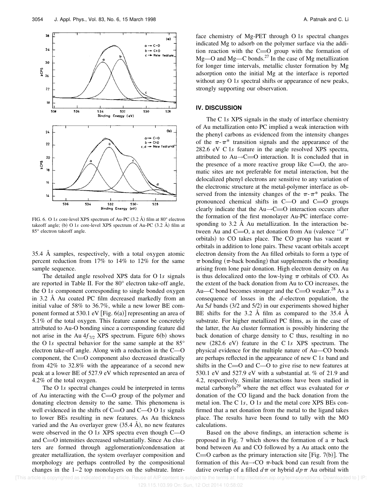

FIG. 6. O 1s core-level XPS spectrum of Au-PC (3.2 Å) film at 80° electron takeoff angle; (b) O 1*s* core-level XPS spectrum of Au-PC  $(3.2 \text{ Å})$  film at 85° electron takeoff angle.

35.4 Å samples, respectively, with a total oxygen atomic percent reduction from 17% to 14% to 12% for the same sample sequence.

The detailed angle resolved XPS data for O 1*s* signals are reported in Table II. For the 80° electron take-off angle, the O 1*s* component corresponding to single bonded oxygen in 3.2 Å Au coated PC film decreased markedly from an initial value of 58% to 36.7%, while a new lower BE component formed at 530.1 eV | Fig.  $6(a)$ | representing an area of 5.1% of the total oxygen. This feature cannot be concretely attributed to Au-O bonding since a corresponding feature did not arise in the Au  $4f_{7/2}$  XPS spectrum. Figure 6(b) shows the O 1*s* spectral behavior for the same sample at the 85° electron take-off angle. Along with a reduction in the C—O component, the  $C=O$  component also decreased drastically from 42% to 32.8% with the appearance of a second new peak at a lower BE of 527.9 eV which represented an area of 4.2% of the total oxygen.

The O 1*s* spectral changes could be interpreted in terms of Au interacting with the  $C=O$  group of the polymer and donating electron density to the same. This phenomena is well evidenced in the shifts of C=O and C-O O 1s signals to lower BEs resulting in new features. As Au thickness varied and the Au overlayer grew  $(35.4 \text{ Å})$ , no new features were observed in the O 1*s* XPS spectra even though C—O and  $C = 0$  intensities decreased substantially. Since Au clusters are formed through agglomeration/condensation at greater metallization, the system overlayer composition and morphology are perhaps controlled by the compositional changes in the 1–2 top monolayers on the substrate. Inter-

face chemistry of Mg-PET through O 1*s* spectral changes indicated Mg to adsorb on the polymer surface via the addition reaction with the  $C=O$  group with the formation of Mg—O and Mg—C bonds.<sup>27</sup> In the case of Mg metallization for longer time intervals, metallic cluster formation by Mg adsorption onto the initial Mg at the interface is reported without any O 1*s* spectral shifts or appearance of new peaks, strongly supporting our observation.

#### **IV. DISCUSSION**

The C 1*s* XPS signals in the study of interface chemistry of Au metallization onto PC implied a weak interaction with the phenyl carbons as evidenced from the intensity changes of the  $\pi$ - $\pi$ <sup>\*</sup> transition signals and the appearance of the 282.6 eV C 1*s* feature in the angle resolved XPS spectra, attributed to  $Au \rightarrow C = 0$  interaction. It is concluded that in the presence of a more reactive group like  $C=0$ , the aromatic sites are not preferable for metal interaction, but the delocalized phenyl electrons are sensitive to any variation of the electronic structure at the metal-polymer interface as observed from the intensity changes of the  $\pi$ - $\pi$ <sup>\*</sup> peaks. The pronounced chemical shifts in  $C$ — $O$  and  $C$  groups clearly indicate that the  $Au \rightarrow C = 0$  interaction occurs after the formation of the first monolayer Au-PC interface corresponding to 3.2 Å Au metallization. In the interaction between Au and C= $O$ , a net donation from Au (valence  $'d''$ orbitals) to CO takes place. The CO group has vacant  $\pi$ orbitals in addition to lone pairs. These vacant orbitals accept electron density from the Au filled orbitals to form a type of  $\pi$  bonding ( $\pi$ -back bonding) that supplements the  $\sigma$  bonding arising from lone pair donation. High electron density on Au is thus delocalized onto the low-lying  $\pi$  orbitals of CO. As the extent of the back donation from Au to CO increases, the Au—C bond becomes stronger and the  $C=O$  weaker.<sup>28</sup> As a consequence of losses in the *d*-electron population, the Au 5*d* bands (3/2 and 5/2) in our experiments showed higher BE shifts for the 3.2 Å film as compared to the 35.4 Å substrate. For higher metallized PC films, as in the case of the latter, the Au cluster formation is possibly hindering the back donation of charge density to C thus, resulting in no new (282.6 eV) feature in the C 1s XPS spectrum. The physical evidence for the multiple nature of Au—CO bonds are perhaps reflected in the appearance of new C 1*s* band and shifts in the  $C=O$  and  $C=O$  to give rise to new features at 530.1 eV and 527.9 eV with a substantial at. % of 21.9 and 4.2, respectively. Similar interactions have been studied in metal carbonyls<sup>29</sup> where the net effect was evaluated for  $\sigma$ donation of the CO ligand and the back donation from the metal ion. The C 1s, O 1s and the metal core XPS BEs confirmed that a net donation from the metal to the ligand takes place. The results have been found to tally with the MO calculations.

Based on the above findings, an interaction scheme is proposed in Fig. 7 which shows the formation of a  $\pi$  back bond between Au and CO followed by a Au attack onto the C= $O$  carbon as the primary interaction site [Fig. 7(b)]. The formation of this Au $\rightarrow$ CO  $\pi$ -back bond can result from the dative overlap of a filled  $d\pi$  or hybrid  $dp\pi$  Au orbital with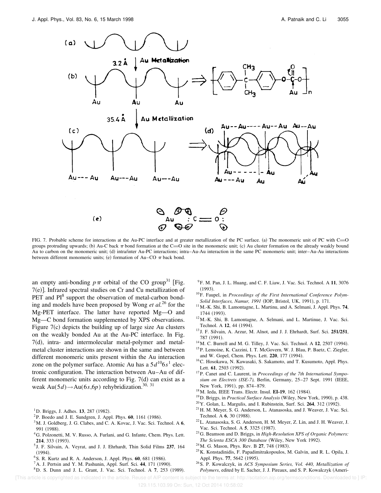

FIG. 7. Probable scheme for interactions at the Au-PC interface and at greater metallization of the PC surface. (a) The monomeric unit of PC with C=O groups protruding upwards; (b) Au-C back  $\pi$  bond formation at the C=O site in the monomeric unit; (c) Au cluster formation on the already weakly bound Au to carbon on the monomeric unit; (d) intra/inter Au-PC interactions; intra–Au-Au interaction in the same PC monomeric unit; inter–Au-Au interactions between different monomeric units; (e) formation of Au–CO  $\pi$  back bond.

an empty anti-bonding  $p\pi$  orbital of the CO group<sup>31</sup> [Fig. 7(e)]. Infrared spectral studies on Cr and Cu metallization of PET and PI<sup>8</sup> support the observation of metal-carbon bonding and models have been proposed by Wong *et al.*<sup>26</sup> for the Mg-PET interface. The latter have reported Mg—O and Mg—C bond formation supplemented by XPS observations. Figure  $7(c)$  depicts the building up of large size Au clusters on the weakly bonded Au at the Au-PC interface. In Fig.  $7(d)$ , intra- and intermolecular metal-polymer and metalmetal cluster interactions are shown in the same and between different monomeric units present within the Au interaction zone on the polymer surface. Atomic Au has a  $5d^{10}6s^1$  electronic configuration. The interaction between Au–Au of different monomeric units according to Fig.  $7(d)$  can exist as a weak Au(5*d*) $\rightarrow$ Au(6*s*,6*p*) rehybridization.<sup>30, 31</sup>

- <sup>2</sup>P. Boedo and J. E. Sundgren, J. Appl. Phys. 60, 1161 (1986).
- <sup>3</sup>M. J. Goldberg, J. G. Clabes, and C. A. Kovac, J. Vac. Sci. Technol. A **6**, 991 (1988).
- <sup>4</sup>G. Polzonetti, M. V. Russo, A. Furlani, and G. Infante, Chem. Phys. Lett. **214**, 333 (1993).
- 5 J. F. Silvain, A. Veyrat, and J. J. Ehrhardt, Thin Solid Films **237**, 164  $(1994).$
- <sup>6</sup> S. R. Kurtz and R. A. Anderson, J. Appl. Phys. **60**, 681 (1986).
- <sup>7</sup> A. J. Pertsin and Y. M. Pashunin, Appl. Surf. Sci. 44, 171 (1990).
- <sup>8</sup>D. S. Dunn and J. L. Grant, J. Vac. Sci. Technol. A 7, 253 (1989).

<sup>9</sup>F. M. Pan, J. L. Huang, and C. F. Liaw, J. Vac. Sci. Technol. A **11**, 3076  $(1993).$ 

- <sup>10</sup>F. Faupel, in *Proceedings of the First International Conference Polym-Solid Interfaces, Namur, 1991* (IOP, Bristol, UK, 1991), p. 171.
- <sup>11</sup>M.-K. Shi, B. Lamontagne, L. Martinu, and A. Selmani, J. Appl. Phys. **74**, 1744 (1993).
- <sup>12</sup>M.-K. Shi, B. Lamontagne, A. Selmani, and L. Martinue, J. Vac. Sci. Technol. A **12**, 44 (1994).
- <sup>13</sup> J. F. Silvain, A. Arzur, M. Alnot, and J. J. Ehrhardt, Surf. Sci. **251/251**, 787 (1991).
- <sup>14</sup> M. C. Burrell and M. G. Tilley, J. Vac. Sci. Technol. A **12**, 2507 (1994).
- <sup>15</sup>P. Lemoine, K. Cazzini, I. T. McGovern, W. J. Blau, P. Baetz, C. Ziegler, and W. Gopel, Chem. Phys. Lett. 220, 177 (1994).
- <sup>16</sup>C. Hosokawa, N. Kawasaki, S. Sakamoto, and T. Kusumoto, Appl. Phys. Lett. **61**, 2503 (1992).
- <sup>17</sup>P. Canet and C. Laurent, in *Proceedings of the 7th International Symposium on Electrets (ISE-7), Berlin, Germany, 25-27 Sept. 1991 (IEEE,* New York, 1991), pp. 874-879.
- <sup>18</sup> M. Ieda, IEEE Trans. Electr. Insul. **EI-19**, 162 (1984).
- <sup>19</sup> D. Briggs, in *Practical Surface Analysis* (Wiley, New York, 1990), p. 438.
- <sup>20</sup> Y. Golan, L. Margulis, and I. Rubinstein, Surf. Sci. **264**, 312 (1992).
- <sup>21</sup>H. M. Meyer, S. G. Anderson, L. Atanasoska, and J. Weaver, J. Vac. Sci. Technol. A **6**, 30 (1988).
- <sup>22</sup>L. Atanasoska, S. G. Anderson, H. M. Meyer, Z. Lin, and J. H. Weaver, J. Vac. Sci. Technol. A 5, 3325 (1987).
- <sup>23</sup>G. Beamson and D. Briggs, in *High-Resolution XPS of Organic Polymers: The Scienta ESCA 300 Database* (Wiley, New York 1992).
- <sup>24</sup> M. G. Mason, Phys. Rev. B **27**, 748 (1983).
- <sup>25</sup>K. Konstadinidis, F. Papadimitrakopoulos, M. Galvin, and R. L. Opila, J. Appl. Phys. 77, 5642 (1995).
- <sup>26</sup>S. P. Kowalczyk, in *ACS Symposium Series, Vol. 440, Metallization of* Polymers, edited by E. Sacher, J. J. Pireaux, and S. P. Kowalczyk (Ameri-

[This article is copyrighted as indicated in the article. Reuse of AIP content is subject to the terms at: http://scitation.aip.org/termsconditions. Downloaded to ] IP:

129.115.103.99 On: Sun, 12 Oct 2014 10:58:02

 $1$ D. Briggs, J. Adhes. **13**, 287 (1982).